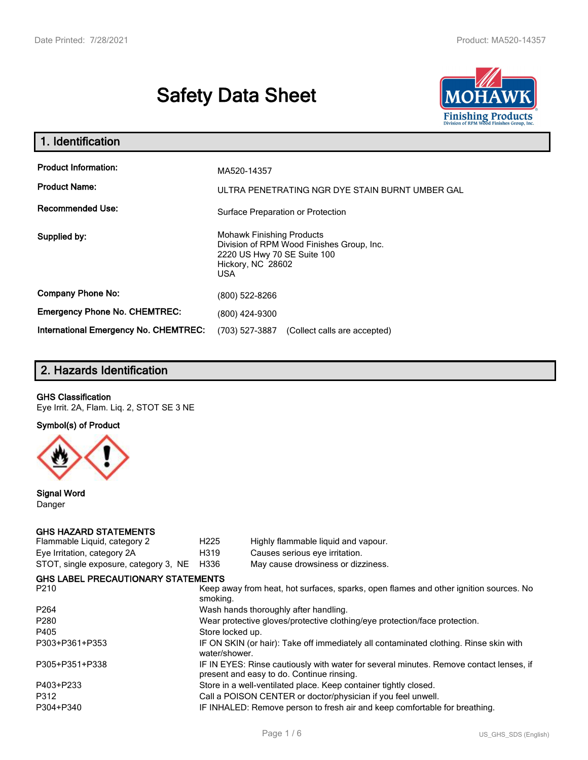# **Safety Data Sheet**



| 1. Identification                                                              |                                                                                                                                                 |
|--------------------------------------------------------------------------------|-------------------------------------------------------------------------------------------------------------------------------------------------|
| <b>Product Information:</b><br><b>Product Name:</b><br><b>Recommended Use:</b> | MA520-14357<br>ULTRA PENETRATING NGR DYE STAIN BURNT UMBER GAL                                                                                  |
|                                                                                | Surface Preparation or Protection                                                                                                               |
| Supplied by:                                                                   | <b>Mohawk Finishing Products</b><br>Division of RPM Wood Finishes Group, Inc.<br>2220 US Hwy 70 SE Suite 100<br>Hickory, NC 28602<br><b>USA</b> |
| <b>Company Phone No:</b>                                                       | (800) 522-8266                                                                                                                                  |
| <b>Emergency Phone No. CHEMTREC:</b>                                           | (800) 424-9300                                                                                                                                  |
| <b>International Emergency No. CHEMTREC:</b>                                   | (703) 527-3887<br>(Collect calls are accepted)                                                                                                  |

# **2. Hazards Identification**

#### **GHS Classification**

Eye Irrit. 2A, Flam. Liq. 2, STOT SE 3 NE

**Symbol(s) of Product**



**Signal Word** Danger

#### **GHS HAZARD STATEMENTS**

| H <sub>225</sub>                                                                                                                    | Highly flammable liquid and vapour.       |  |  |
|-------------------------------------------------------------------------------------------------------------------------------------|-------------------------------------------|--|--|
| H319                                                                                                                                | Causes serious eye irritation.            |  |  |
| H336                                                                                                                                | May cause drowsiness or dizziness.        |  |  |
|                                                                                                                                     |                                           |  |  |
| Keep away from heat, hot surfaces, sparks, open flames and other ignition sources. No<br>smoking.                                   |                                           |  |  |
| Wash hands thoroughly after handling.                                                                                               |                                           |  |  |
| Wear protective gloves/protective clothing/eye protection/face protection.                                                          |                                           |  |  |
| Store locked up.                                                                                                                    |                                           |  |  |
| IF ON SKIN (or hair): Take off immediately all contaminated clothing. Rinse skin with<br>water/shower.                              |                                           |  |  |
| IF IN EYES: Rinse cautiously with water for several minutes. Remove contact lenses, if<br>present and easy to do. Continue rinsing. |                                           |  |  |
| Store in a well-ventilated place. Keep container tightly closed.                                                                    |                                           |  |  |
| Call a POISON CENTER or doctor/physician if you feel unwell.                                                                        |                                           |  |  |
| IF INHALED: Remove person to fresh air and keep comfortable for breathing.                                                          |                                           |  |  |
|                                                                                                                                     | <b>GHS LABEL PRECAUTIONARY STATEMENTS</b> |  |  |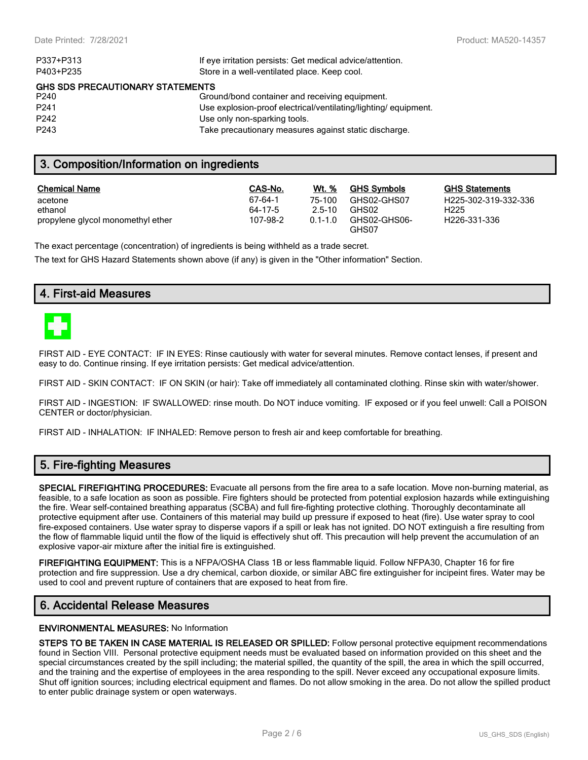| P337+P313                               | If eye irritation persists: Get medical advice/attention.      |  |  |  |
|-----------------------------------------|----------------------------------------------------------------|--|--|--|
| P403+P235                               | Store in a well-ventilated place. Keep cool.                   |  |  |  |
| <b>GHS SDS PRECAUTIONARY STATEMENTS</b> |                                                                |  |  |  |
| P240                                    | Ground/bond container and receiving equipment.                 |  |  |  |
| P <sub>241</sub>                        | Use explosion-proof electrical/ventilating/lighting/equipment. |  |  |  |
| P <sub>242</sub>                        | Use only non-sparking tools.                                   |  |  |  |
| P <sub>243</sub>                        | Take precautionary measures against static discharge.          |  |  |  |
|                                         |                                                                |  |  |  |

## **3. Composition/Information on ingredients**

| <b>Chemical Name</b>              | CAS-No.  | Wt. %       | <b>GHS Symbols</b>    | GHS  |
|-----------------------------------|----------|-------------|-----------------------|------|
| acetone                           | 67-64-1  | 75-100      | GHS02-GHS07           | H225 |
| ethanol                           | 64-17-5  | $2.5 - 10$  | GHS02                 | H225 |
| propylene glycol monomethyl ether | 107-98-2 | $0.1 - 1.0$ | GHS02-GHS06-<br>GHS07 | H226 |

**GHS Statements** H225-302-319-332-336 H226-331-336

The exact percentage (concentration) of ingredients is being withheld as a trade secret.

The text for GHS Hazard Statements shown above (if any) is given in the "Other information" Section.

## **4. First-aid Measures**



FIRST AID - EYE CONTACT: IF IN EYES: Rinse cautiously with water for several minutes. Remove contact lenses, if present and easy to do. Continue rinsing. If eye irritation persists: Get medical advice/attention.

FIRST AID - SKIN CONTACT: IF ON SKIN (or hair): Take off immediately all contaminated clothing. Rinse skin with water/shower.

FIRST AID - INGESTION: IF SWALLOWED: rinse mouth. Do NOT induce vomiting. IF exposed or if you feel unwell: Call a POISON CENTER or doctor/physician.

FIRST AID - INHALATION: IF INHALED: Remove person to fresh air and keep comfortable for breathing.

### **5. Fire-fighting Measures**

**SPECIAL FIREFIGHTING PROCEDURES:** Evacuate all persons from the fire area to a safe location. Move non-burning material, as feasible, to a safe location as soon as possible. Fire fighters should be protected from potential explosion hazards while extinguishing the fire. Wear self-contained breathing apparatus (SCBA) and full fire-fighting protective clothing. Thoroughly decontaminate all protective equipment after use. Containers of this material may build up pressure if exposed to heat (fire). Use water spray to cool fire-exposed containers. Use water spray to disperse vapors if a spill or leak has not ignited. DO NOT extinguish a fire resulting from the flow of flammable liquid until the flow of the liquid is effectively shut off. This precaution will help prevent the accumulation of an explosive vapor-air mixture after the initial fire is extinguished.

**FIREFIGHTING EQUIPMENT:** This is a NFPA/OSHA Class 1B or less flammable liquid. Follow NFPA30, Chapter 16 for fire protection and fire suppression. Use a dry chemical, carbon dioxide, or similar ABC fire extinguisher for incipeint fires. Water may be used to cool and prevent rupture of containers that are exposed to heat from fire.

## **6. Accidental Release Measures**

#### **ENVIRONMENTAL MEASURES:** No Information

**STEPS TO BE TAKEN IN CASE MATERIAL IS RELEASED OR SPILLED:** Follow personal protective equipment recommendations found in Section VIII. Personal protective equipment needs must be evaluated based on information provided on this sheet and the special circumstances created by the spill including; the material spilled, the quantity of the spill, the area in which the spill occurred, and the training and the expertise of employees in the area responding to the spill. Never exceed any occupational exposure limits. Shut off ignition sources; including electrical equipment and flames. Do not allow smoking in the area. Do not allow the spilled product to enter public drainage system or open waterways.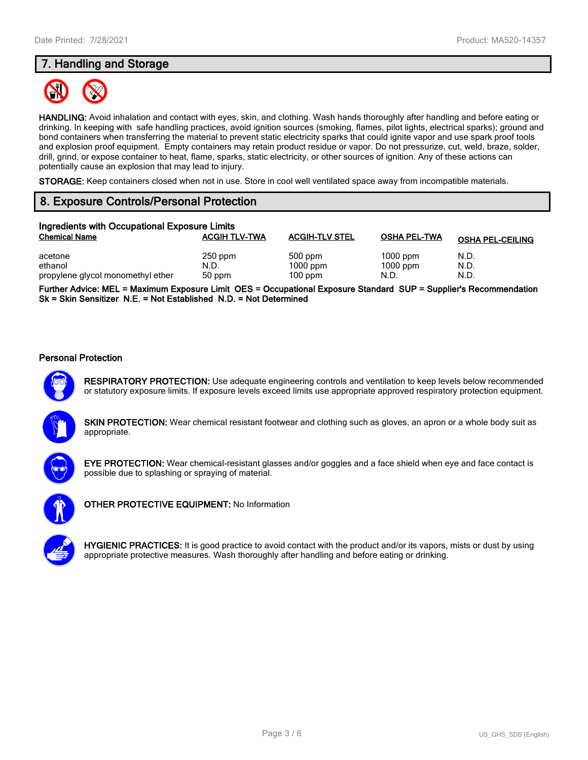# **7. Handling and Storage**



**HANDLING:** Avoid inhalation and contact with eyes, skin, and clothing. Wash hands thoroughly after handling and before eating or drinking. In keeping with safe handling practices, avoid ignition sources (smoking, flames, pilot lights, electrical sparks); ground and bond containers when transferring the material to prevent static electricity sparks that could ignite vapor and use spark proof tools and explosion proof equipment. Empty containers may retain product residue or vapor. Do not pressurize, cut, weld, braze, solder, drill, grind, or expose container to heat, flame, sparks, static electricity, or other sources of ignition. Any of these actions can potentially cause an explosion that may lead to injury.

**STORAGE:** Keep containers closed when not in use. Store in cool well ventilated space away from incompatible materials.

# **8. Exposure Controls/Personal Protection**

| Ingredients with Occupational Exposure Limits           |                             |                                    |                                  |                         |  |
|---------------------------------------------------------|-----------------------------|------------------------------------|----------------------------------|-------------------------|--|
| <b>Chemical Name</b>                                    | <b>ACGIH TLV-TWA</b>        | <b>ACGIH-TLV STEL</b>              | <b>OSHA PEL-TWA</b>              | <b>OSHA PEL-CEILING</b> |  |
| acetone<br>ethanol<br>propylene glycol monomethyl ether | $250$ ppm<br>N.D.<br>50 ppm | 500 ppm<br>$1000$ ppm<br>$100$ ppm | $1000$ ppm<br>$1000$ ppm<br>N.D. | N.D.<br>N.D.<br>N.D.    |  |

**Further Advice: MEL = Maximum Exposure Limit OES = Occupational Exposure Standard SUP = Supplier's Recommendation Sk = Skin Sensitizer N.E. = Not Established N.D. = Not Determined**

#### **Personal Protection**



**RESPIRATORY PROTECTION:** Use adequate engineering controls and ventilation to keep levels below recommended or statutory exposure limits. If exposure levels exceed limits use appropriate approved respiratory protection equipment.





**EYE PROTECTION:** Wear chemical-resistant glasses and/or goggles and a face shield when eye and face contact is possible due to splashing or spraying of material.



**OTHER PROTECTIVE EQUIPMENT:** No Information

**HYGIENIC PRACTICES:** It is good practice to avoid contact with the product and/or its vapors, mists or dust by using appropriate protective measures. Wash thoroughly after handling and before eating or drinking.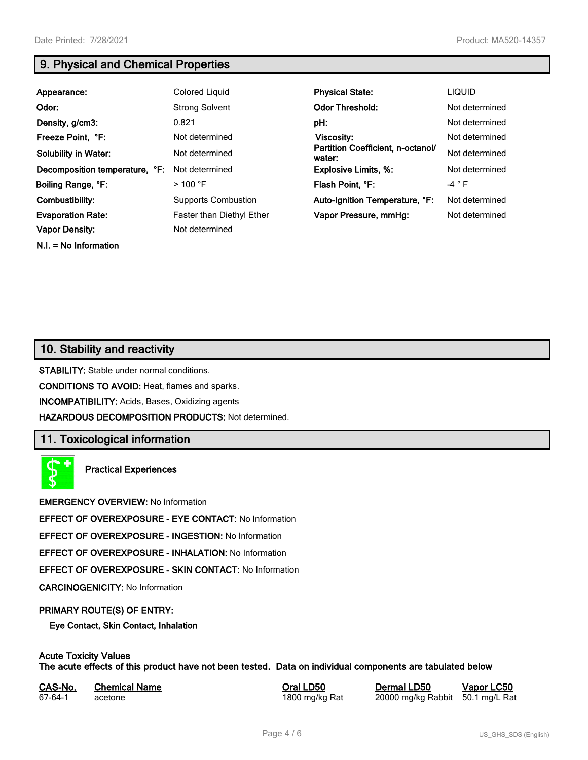**N.I. = No Information**

# **9. Physical and Chemical Properties**

| Appearance:                    | <b>Colored Liquid</b>      | <b>Physical State:</b>                      | <b>LIQUID</b>  |
|--------------------------------|----------------------------|---------------------------------------------|----------------|
| Odor:                          | <b>Strong Solvent</b>      | <b>Odor Threshold:</b>                      | Not determined |
| Density, g/cm3:                | 0.821                      | pH:                                         | Not determined |
| Freeze Point, °F:              | Not determined             | Viscosity:                                  | Not determined |
| <b>Solubility in Water:</b>    | Not determined             | Partition Coefficient, n-octanol/<br>water: | Not determined |
| Decomposition temperature, °F: | Not determined             | <b>Explosive Limits, %:</b>                 | Not determined |
| Boiling Range, °F:             | $>100$ °F                  | Flash Point, °F:                            | $-4 ° F$       |
| Combustibility:                | <b>Supports Combustion</b> | Auto-Ignition Temperature, °F:              | Not determined |
| <b>Evaporation Rate:</b>       | Faster than Diethyl Ether  | Vapor Pressure, mmHg:                       | Not determined |
| <b>Vapor Density:</b>          | Not determined             |                                             |                |

## **10. Stability and reactivity**

**STABILITY:** Stable under normal conditions.

**CONDITIONS TO AVOID:** Heat, flames and sparks.

**INCOMPATIBILITY:** Acids, Bases, Oxidizing agents

**HAZARDOUS DECOMPOSITION PRODUCTS:** Not determined.

## **11. Toxicological information**

**Practical Experiences**

**EMERGENCY OVERVIEW:** No Information

**EFFECT OF OVEREXPOSURE - EYE CONTACT:** No Information

**EFFECT OF OVEREXPOSURE - INGESTION:** No Information

**EFFECT OF OVEREXPOSURE - INHALATION:** No Information

**EFFECT OF OVEREXPOSURE - SKIN CONTACT:** No Information

**CARCINOGENICITY:** No Information

#### **PRIMARY ROUTE(S) OF ENTRY:**

**Eye Contact, Skin Contact, Inhalation**

# **Acute Toxicity Values**

**The acute effects of this product have not been tested. Data on individual components are tabulated below**

| CAS-No. | <b>Chemical Name</b> |
|---------|----------------------|
| 67-64-1 | acetone              |

**Casary Chemical Chemical LD50 Chemical LD50 Vapor LC50** 1800 mg/kg Rat 20000 mg/kg Rabbit 50.1 mg/L Rat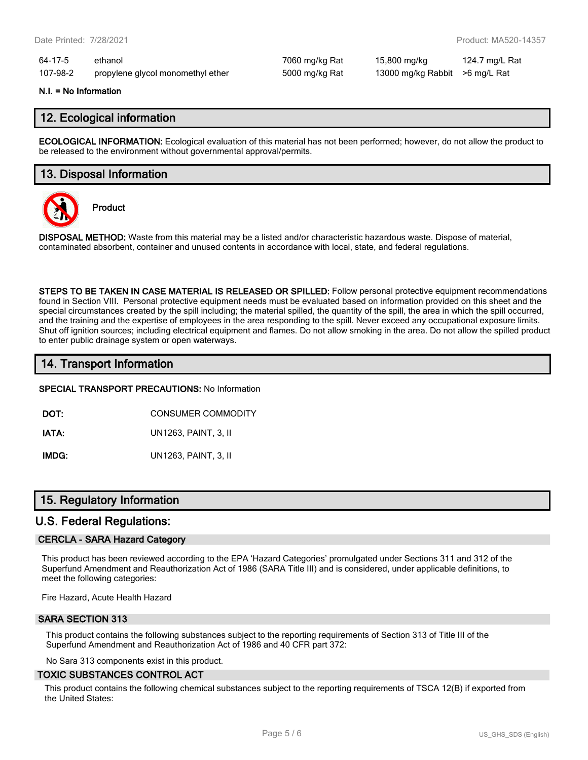64-17-5 ethanol 7060 mg/kg Rat 15,800 mg/kg 124.7 mg/L Rat 107-98-2 propylene glycol monomethyl ether 5000 mg/kg Rat 13000 mg/kg Rabbit >6 mg/L Rat

#### **N.I. = No Information**

## **12. Ecological information**

**ECOLOGICAL INFORMATION:** Ecological evaluation of this material has not been performed; however, do not allow the product to be released to the environment without governmental approval/permits.

## **13. Disposal Information**



**Product**

**DISPOSAL METHOD:** Waste from this material may be a listed and/or characteristic hazardous waste. Dispose of material, contaminated absorbent, container and unused contents in accordance with local, state, and federal regulations.

**STEPS TO BE TAKEN IN CASE MATERIAL IS RELEASED OR SPILLED:** Follow personal protective equipment recommendations found in Section VIII. Personal protective equipment needs must be evaluated based on information provided on this sheet and the special circumstances created by the spill including; the material spilled, the quantity of the spill, the area in which the spill occurred, and the training and the expertise of employees in the area responding to the spill. Never exceed any occupational exposure limits. Shut off ignition sources; including electrical equipment and flames. Do not allow smoking in the area. Do not allow the spilled product to enter public drainage system or open waterways.

## **14. Transport Information**

**SPECIAL TRANSPORT PRECAUTIONS:** No Information

**DOT:** CONSUMER COMMODITY

**IATA:** UN1263, PAINT, 3, II

**IMDG:** UN1263, PAINT, 3, II

## **15. Regulatory Information**

## **U.S. Federal Regulations:**

#### **CERCLA - SARA Hazard Category**

This product has been reviewed according to the EPA 'Hazard Categories' promulgated under Sections 311 and 312 of the Superfund Amendment and Reauthorization Act of 1986 (SARA Title III) and is considered, under applicable definitions, to meet the following categories:

Fire Hazard, Acute Health Hazard

#### **SARA SECTION 313**

This product contains the following substances subject to the reporting requirements of Section 313 of Title III of the Superfund Amendment and Reauthorization Act of 1986 and 40 CFR part 372:

No Sara 313 components exist in this product.

#### **TOXIC SUBSTANCES CONTROL ACT**

This product contains the following chemical substances subject to the reporting requirements of TSCA 12(B) if exported from the United States: